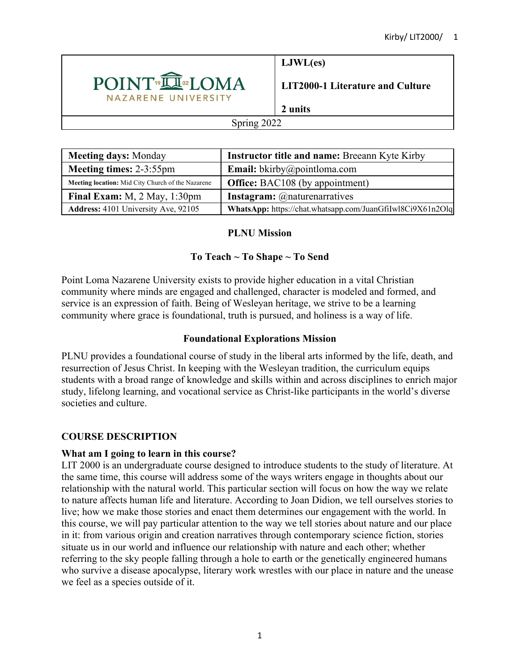

**LJWL(es)**

**LIT2000-1 Literature and Culture**

# **2 units**

### Spring 2022

| <b>Meeting days: Monday</b>                       | <b>Instructor title and name: Breeann Kyte Kirby</b>       |  |  |
|---------------------------------------------------|------------------------------------------------------------|--|--|
| <b>Meeting times: 2-3:55pm</b>                    | <b>Email:</b> bkirby@pointloma.com                         |  |  |
| Meeting location: Mid City Church of the Nazarene | <b>Office:</b> BAC108 (by appointment)                     |  |  |
| Final Exam: M, 2 May, 1:30pm                      | <b>Instagram:</b> @naturenarratives                        |  |  |
| <b>Address:</b> 4101 University Ave, 92105        | WhatsApp: https://chat.whatsapp.com/JuanGfiIwl8Ci9X61n2Olq |  |  |

# **PLNU Mission**

# **To Teach ~ To Shape ~ To Send**

Point Loma Nazarene University exists to provide higher education in a vital Christian community where minds are engaged and challenged, character is modeled and formed, and service is an expression of faith. Being of Wesleyan heritage, we strive to be a learning community where grace is foundational, truth is pursued, and holiness is a way of life.

# **Foundational Explorations Mission**

PLNU provides a foundational course of study in the liberal arts informed by the life, death, and resurrection of Jesus Christ. In keeping with the Wesleyan tradition, the curriculum equips students with a broad range of knowledge and skills within and across disciplines to enrich major study, lifelong learning, and vocational service as Christ-like participants in the world's diverse societies and culture.

# **COURSE DESCRIPTION**

# **What am I going to learn in this course?**

LIT 2000 is an undergraduate course designed to introduce students to the study of literature. At the same time, this course will address some of the ways writers engage in thoughts about our relationship with the natural world. This particular section will focus on how the way we relate to nature affects human life and literature. According to Joan Didion, we tell ourselves stories to live; how we make those stories and enact them determines our engagement with the world. In this course, we will pay particular attention to the way we tell stories about nature and our place in it: from various origin and creation narratives through contemporary science fiction, stories situate us in our world and influence our relationship with nature and each other; whether referring to the sky people falling through a hole to earth or the genetically engineered humans who survive a disease apocalypse, literary work wrestles with our place in nature and the unease we feel as a species outside of it.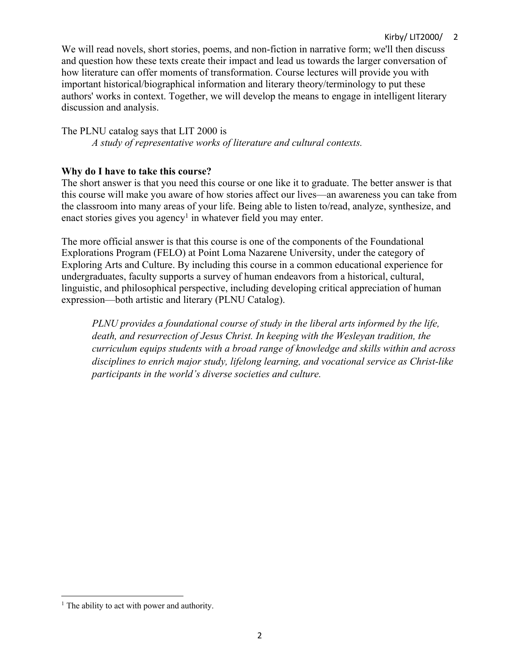# Kirby/ LIT2000/ 2

We will read novels, short stories, poems, and non-fiction in narrative form; we'll then discuss and question how these texts create their impact and lead us towards the larger conversation of how literature can offer moments of transformation. Course lectures will provide you with important historical/biographical information and literary theory/terminology to put these authors' works in context. Together, we will develop the means to engage in intelligent literary discussion and analysis.

The PLNU catalog says that LIT 2000 is

*A study of representative works of literature and cultural contexts.*

# **Why do I have to take this course?**

The short answer is that you need this course or one like it to graduate. The better answer is that this course will make you aware of how stories affect our lives—an awareness you can take from the classroom into many areas of your life. Being able to listen to/read, analyze, synthesize, and enact stories gives you agency<sup>1</sup> in whatever field you may enter.

The more official answer is that this course is one of the components of the Foundational Explorations Program (FELO) at Point Loma Nazarene University, under the category of Exploring Arts and Culture. By including this course in a common educational experience for undergraduates, faculty supports a survey of human endeavors from a historical, cultural, linguistic, and philosophical perspective, including developing critical appreciation of human expression—both artistic and literary (PLNU Catalog).

*PLNU provides a foundational course of study in the liberal arts informed by the life, death, and resurrection of Jesus Christ. In keeping with the Wesleyan tradition, the curriculum equips students with a broad range of knowledge and skills within and across disciplines to enrich major study, lifelong learning, and vocational service as Christ-like participants in the world's diverse societies and culture.* 

 $<sup>1</sup>$  The ability to act with power and authority.</sup>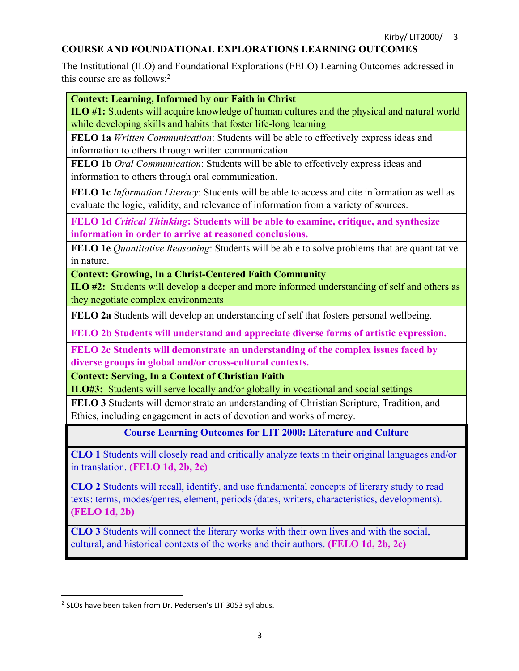# **COURSE AND FOUNDATIONAL EXPLORATIONS LEARNING OUTCOMES**

The Institutional (ILO) and Foundational Explorations (FELO) Learning Outcomes addressed in this course are as follows: $2$ 

### **Context: Learning, Informed by our Faith in Christ**

**ILO #1:** Students will acquire knowledge of human cultures and the physical and natural world while developing skills and habits that foster life-long learning

**FELO 1a** *Written Communication*: Students will be able to effectively express ideas and information to others through written communication.

**FELO 1b** *Oral Communication*: Students will be able to effectively express ideas and information to others through oral communication.

**FELO 1c** *Information Literacy*: Students will be able to access and cite information as well as evaluate the logic, validity, and relevance of information from a variety of sources.

**FELO 1d** *Critical Thinking***: Students will be able to examine, critique, and synthesize information in order to arrive at reasoned conclusions.**

**FELO 1e** *Quantitative Reasoning*: Students will be able to solve problems that are quantitative in nature.

**Context: Growing, In a Christ-Centered Faith Community**

**ILO #2:** Students will develop a deeper and more informed understanding of self and others as they negotiate complex environments

**FELO 2a** Students will develop an understanding of self that fosters personal wellbeing.

**FELO 2b Students will understand and appreciate diverse forms of artistic expression.** 

**FELO 2c Students will demonstrate an understanding of the complex issues faced by diverse groups in global and/or cross-cultural contexts.** 

**Context: Serving, In a Context of Christian Faith**

**ILO#3:** Students will serve locally and/or globally in vocational and social settings

**FELO 3** Students will demonstrate an understanding of Christian Scripture, Tradition, and Ethics, including engagement in acts of devotion and works of mercy.

**Course Learning Outcomes for LIT 2000: Literature and Culture**

**CLO 1** Students will closely read and critically analyze texts in their original languages and/or in translation. **(FELO 1d, 2b, 2c)**

**CLO 2** Students will recall, identify, and use fundamental concepts of literary study to read texts: terms, modes/genres, element, periods (dates, writers, characteristics, developments). **(FELO 1d, 2b)**

**CLO 3** Students will connect the literary works with their own lives and with the social, cultural, and historical contexts of the works and their authors. **(FELO 1d, 2b, 2c)**

<sup>2</sup> SLOs have been taken from Dr. Pedersen's LIT 3053 syllabus.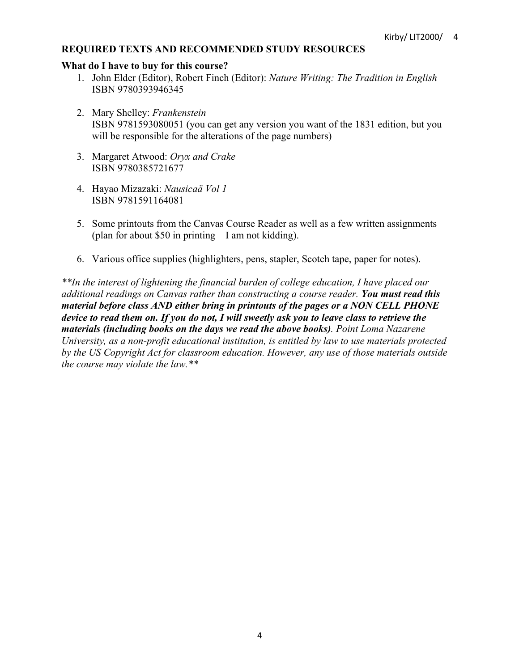# **REQUIRED TEXTS AND RECOMMENDED STUDY RESOURCES**

#### **What do I have to buy for this course?**

- 1. John Elder (Editor), Robert Finch (Editor): *Nature Writing: The Tradition in English* ISBN 9780393946345
- 2. Mary Shelley: *Frankenstein* ISBN 9781593080051 (you can get any version you want of the 1831 edition, but you will be responsible for the alterations of the page numbers)
- 3. Margaret Atwood: *Oryx and Crake* ISBN 9780385721677
- 4. Hayao Mizazaki: *Nausicaä Vol 1* ISBN 9781591164081
- 5. Some printouts from the Canvas Course Reader as well as a few written assignments (plan for about \$50 in printing—I am not kidding).
- 6. Various office supplies (highlighters, pens, stapler, Scotch tape, paper for notes).

*\*\*In the interest of lightening the financial burden of college education, I have placed our additional readings on Canvas rather than constructing a course reader. You must read this material before class AND either bring in printouts of the pages or a NON CELL PHONE device to read them on. If you do not, I will sweetly ask you to leave class to retrieve the materials (including books on the days we read the above books). Point Loma Nazarene University, as a non-profit educational institution, is entitled by law to use materials protected by the US Copyright Act for classroom education. However, any use of those materials outside the course may violate the law.\*\**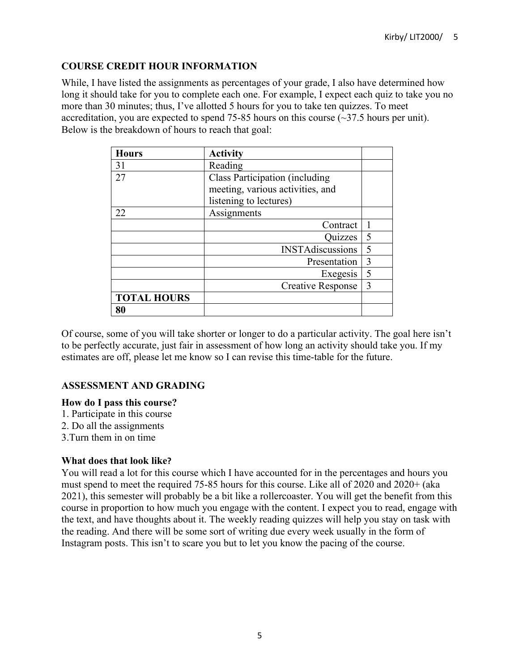# **COURSE CREDIT HOUR INFORMATION**

While, I have listed the assignments as percentages of your grade, I also have determined how long it should take for you to complete each one. For example, I expect each quiz to take you no more than 30 minutes; thus, I've allotted 5 hours for you to take ten quizzes. To meet accreditation, you are expected to spend  $75-85$  hours on this course ( $\sim$ 37.5 hours per unit). Below is the breakdown of hours to reach that goal:

| <b>Hours</b>       | <b>Activity</b>                  |   |  |  |
|--------------------|----------------------------------|---|--|--|
| 31                 | Reading                          |   |  |  |
| 27                 | Class Participation (including   |   |  |  |
|                    | meeting, various activities, and |   |  |  |
|                    | listening to lectures)           |   |  |  |
| 22                 | Assignments                      |   |  |  |
|                    | Contract                         |   |  |  |
|                    | Quizzes                          | 5 |  |  |
|                    | <b>INSTAdiscussions</b>          | 5 |  |  |
|                    | Presentation                     | 3 |  |  |
|                    | Exegesis                         | 5 |  |  |
|                    | <b>Creative Response</b>         | 3 |  |  |
| <b>TOTAL HOURS</b> |                                  |   |  |  |
| 80                 |                                  |   |  |  |

Of course, some of you will take shorter or longer to do a particular activity. The goal here isn't to be perfectly accurate, just fair in assessment of how long an activity should take you. If my estimates are off, please let me know so I can revise this time-table for the future.

# **ASSESSMENT AND GRADING**

### **How do I pass this course?**

- 1. Participate in this course
- 2. Do all the assignments
- 3.Turn them in on time

### **What does that look like?**

You will read a lot for this course which I have accounted for in the percentages and hours you must spend to meet the required 75-85 hours for this course. Like all of 2020 and 2020+ (aka 2021), this semester will probably be a bit like a rollercoaster. You will get the benefit from this course in proportion to how much you engage with the content. I expect you to read, engage with the text, and have thoughts about it. The weekly reading quizzes will help you stay on task with the reading. And there will be some sort of writing due every week usually in the form of Instagram posts. This isn't to scare you but to let you know the pacing of the course.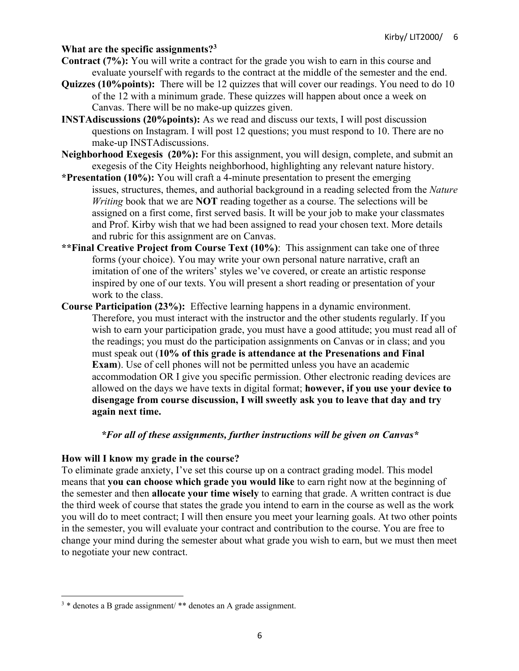## **What are the specific assignments?3**

- **Contract (7%):** You will write a contract for the grade you wish to earn in this course and evaluate yourself with regards to the contract at the middle of the semester and the end.
- **Quizzes (10%points):** There will be 12 quizzes that will cover our readings. You need to do 10 of the 12 with a minimum grade. These quizzes will happen about once a week on Canvas. There will be no make-up quizzes given.
- **INSTAdiscussions (20%points):** As we read and discuss our texts, I will post discussion questions on Instagram. I will post 12 questions; you must respond to 10. There are no make-up INSTAdiscussions.
- **Neighborhood Exegesis (20%):** For this assignment, you will design, complete, and submit an exegesis of the City Heights neighborhood, highlighting any relevant nature history.
- **\*Presentation (10%):** You will craft a 4-minute presentation to present the emerging issues, structures, themes, and authorial background in a reading selected from the *Nature Writing* book that we are **NOT** reading together as a course. The selections will be assigned on a first come, first served basis. It will be your job to make your classmates and Prof. Kirby wish that we had been assigned to read your chosen text. More details and rubric for this assignment are on Canvas.
- **\*\*Final Creative Project from Course Text (10%)**: This assignment can take one of three forms (your choice). You may write your own personal nature narrative, craft an imitation of one of the writers' styles we've covered, or create an artistic response inspired by one of our texts. You will present a short reading or presentation of your work to the class.
- **Course Participation (23%):** Effective learning happens in a dynamic environment. Therefore, you must interact with the instructor and the other students regularly. If you wish to earn your participation grade, you must have a good attitude; you must read all of the readings; you must do the participation assignments on Canvas or in class; and you must speak out (**10% of this grade is attendance at the Presenations and Final Exam**). Use of cell phones will not be permitted unless you have an academic accommodation OR I give you specific permission. Other electronic reading devices are allowed on the days we have texts in digital format; **however, if you use your device to disengage from course discussion, I will sweetly ask you to leave that day and try again next time.**

### *\*For all of these assignments, further instructions will be given on Canvas\**

### **How will I know my grade in the course?**

To eliminate grade anxiety, I've set this course up on a contract grading model. This model means that **you can choose which grade you would like** to earn right now at the beginning of the semester and then **allocate your time wisely** to earning that grade. A written contract is due the third week of course that states the grade you intend to earn in the course as well as the work you will do to meet contract; I will then ensure you meet your learning goals. At two other points in the semester, you will evaluate your contract and contribution to the course. You are free to change your mind during the semester about what grade you wish to earn, but we must then meet to negotiate your new contract.

<sup>&</sup>lt;sup>3</sup> \* denotes a B grade assignment/ \*\* denotes an A grade assignment.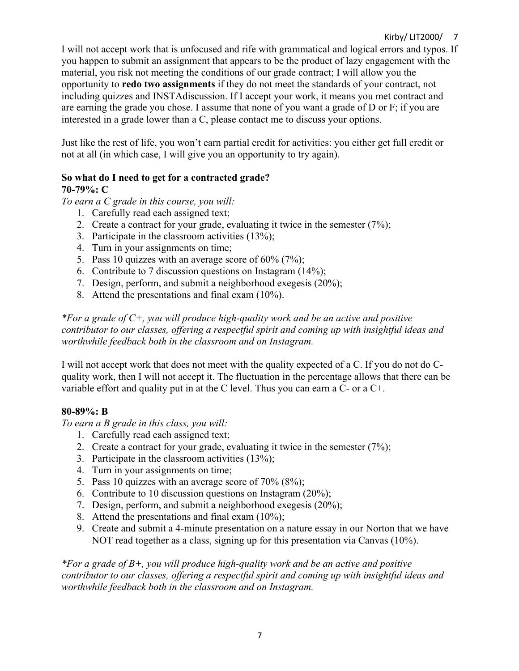I will not accept work that is unfocused and rife with grammatical and logical errors and typos. If you happen to submit an assignment that appears to be the product of lazy engagement with the material, you risk not meeting the conditions of our grade contract; I will allow you the opportunity to **redo two assignments** if they do not meet the standards of your contract, not including quizzes and INSTAdiscussion. If I accept your work, it means you met contract and are earning the grade you chose. I assume that none of you want a grade of D or F; if you are interested in a grade lower than a C, please contact me to discuss your options.

Just like the rest of life, you won't earn partial credit for activities: you either get full credit or not at all (in which case, I will give you an opportunity to try again).

# **So what do I need to get for a contracted grade? 70-79%: C**

*To earn a C grade in this course, you will:*

- 1. Carefully read each assigned text;
- 2. Create a contract for your grade, evaluating it twice in the semester (7%);
- 3. Participate in the classroom activities (13%);
- 4. Turn in your assignments on time;
- 5. Pass 10 quizzes with an average score of 60% (7%);
- 6. Contribute to 7 discussion questions on Instagram (14%);
- 7. Design, perform, and submit a neighborhood exegesis (20%);
- 8. Attend the presentations and final exam (10%).

*\*For a grade of C+, you will produce high-quality work and be an active and positive contributor to our classes, offering a respectful spirit and coming up with insightful ideas and worthwhile feedback both in the classroom and on Instagram.*

I will not accept work that does not meet with the quality expected of a C. If you do not do Cquality work, then I will not accept it. The fluctuation in the percentage allows that there can be variable effort and quality put in at the C level. Thus you can earn a C- or a C+.

### **80-89%: B**

*To earn a B grade in this class, you will:*

- 1. Carefully read each assigned text;
- 2. Create a contract for your grade, evaluating it twice in the semester (7%);
- 3. Participate in the classroom activities (13%);
- 4. Turn in your assignments on time;
- 5. Pass 10 quizzes with an average score of 70% (8%);
- 6. Contribute to 10 discussion questions on Instagram (20%);
- 7. Design, perform, and submit a neighborhood exegesis (20%);
- 8. Attend the presentations and final exam (10%);
- 9. Create and submit a 4-minute presentation on a nature essay in our Norton that we have NOT read together as a class, signing up for this presentation via Canvas (10%).

*\*For a grade of B+, you will produce high-quality work and be an active and positive contributor to our classes, offering a respectful spirit and coming up with insightful ideas and worthwhile feedback both in the classroom and on Instagram.*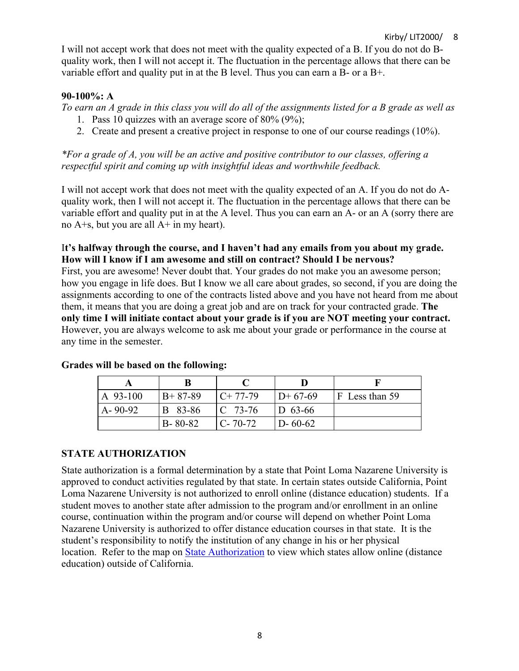I will not accept work that does not meet with the quality expected of a B. If you do not do Bquality work, then I will not accept it. The fluctuation in the percentage allows that there can be variable effort and quality put in at the B level. Thus you can earn a B- or a B+.

# **90-100%: A**

*To earn an A grade in this class you will do all of the assignments listed for a B grade as well as*

- 1. Pass 10 quizzes with an average score of 80% (9%);
- 2. Create and present a creative project in response to one of our course readings (10%).

*\*For a grade of A, you will be an active and positive contributor to our classes, offering a respectful spirit and coming up with insightful ideas and worthwhile feedback.*

I will not accept work that does not meet with the quality expected of an A. If you do not do Aquality work, then I will not accept it. The fluctuation in the percentage allows that there can be variable effort and quality put in at the A level. Thus you can earn an A- or an A (sorry there are no A+s, but you are all A+ in my heart).

# I**t's halfway through the course, and I haven't had any emails from you about my grade. How will I know if I am awesome and still on contract? Should I be nervous?**

First, you are awesome! Never doubt that. Your grades do not make you an awesome person; how you engage in life does. But I know we all care about grades, so second, if you are doing the assignments according to one of the contracts listed above and you have not heard from me about them, it means that you are doing a great job and are on track for your contracted grade. **The only time I will initiate contact about your grade is if you are NOT meeting your contract.** However, you are always welcome to ask me about your grade or performance in the course at any time in the semester.

| A 93-100      | $B+87-89$     | $IC+ 77-79$   | $ID+67-69$    | $ F $ Less than 59 |
|---------------|---------------|---------------|---------------|--------------------|
| $A - 90 - 92$ | B 83-86       | $ C 73-76 $   | $ID$ 63-66    |                    |
|               | $B - 80 - 82$ | $C - 70 - 72$ | $D - 60 - 62$ |                    |

# **Grades will be based on the following:**

# **STATE AUTHORIZATION**

State authorization is a formal determination by a state that Point Loma Nazarene University is approved to conduct activities regulated by that state. In certain states outside California, Point Loma Nazarene University is not authorized to enroll online (distance education) students. If a student moves to another state after admission to the program and/or enrollment in an online course, continuation within the program and/or course will depend on whether Point Loma Nazarene University is authorized to offer distance education courses in that state. It is the student's responsibility to notify the institution of any change in his or her physical location. Refer to the map on State Authorization to view which states allow online (distance education) outside of California.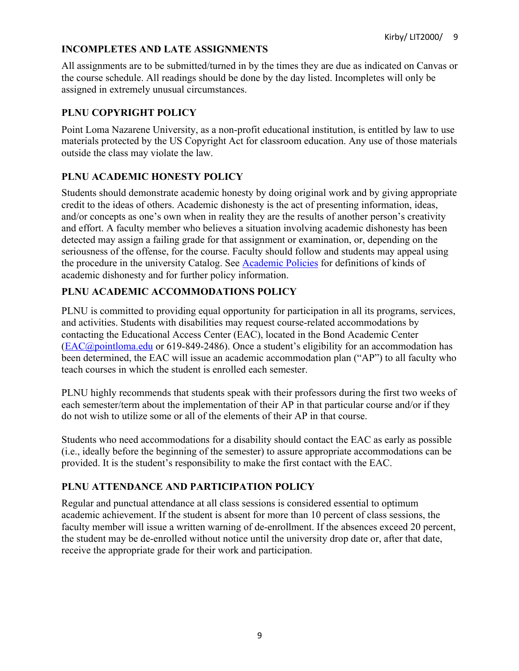# **INCOMPLETES AND LATE ASSIGNMENTS**

All assignments are to be submitted/turned in by the times they are due as indicated on Canvas or the course schedule. All readings should be done by the day listed. Incompletes will only be assigned in extremely unusual circumstances.

# **PLNU COPYRIGHT POLICY**

Point Loma Nazarene University, as a non-profit educational institution, is entitled by law to use materials protected by the US Copyright Act for classroom education. Any use of those materials outside the class may violate the law.

# **PLNU ACADEMIC HONESTY POLICY**

Students should demonstrate academic honesty by doing original work and by giving appropriate credit to the ideas of others. Academic dishonesty is the act of presenting information, ideas, and/or concepts as one's own when in reality they are the results of another person's creativity and effort. A faculty member who believes a situation involving academic dishonesty has been detected may assign a failing grade for that assignment or examination, or, depending on the seriousness of the offense, for the course. Faculty should follow and students may appeal using the procedure in the university Catalog. See Academic Policies for definitions of kinds of academic dishonesty and for further policy information.

# **PLNU ACADEMIC ACCOMMODATIONS POLICY**

PLNU is committed to providing equal opportunity for participation in all its programs, services, and activities. Students with disabilities may request course-related accommodations by contacting the Educational Access Center (EAC), located in the Bond Academic Center (EAC@pointloma.edu or 619-849-2486). Once a student's eligibility for an accommodation has been determined, the EAC will issue an academic accommodation plan ("AP") to all faculty who teach courses in which the student is enrolled each semester.

PLNU highly recommends that students speak with their professors during the first two weeks of each semester/term about the implementation of their AP in that particular course and/or if they do not wish to utilize some or all of the elements of their AP in that course.

Students who need accommodations for a disability should contact the EAC as early as possible (i.e., ideally before the beginning of the semester) to assure appropriate accommodations can be provided. It is the student's responsibility to make the first contact with the EAC.

# **PLNU ATTENDANCE AND PARTICIPATION POLICY**

Regular and punctual attendance at all class sessions is considered essential to optimum academic achievement. If the student is absent for more than 10 percent of class sessions, the faculty member will issue a written warning of de-enrollment. If the absences exceed 20 percent, the student may be de-enrolled without notice until the university drop date or, after that date, receive the appropriate grade for their work and participation.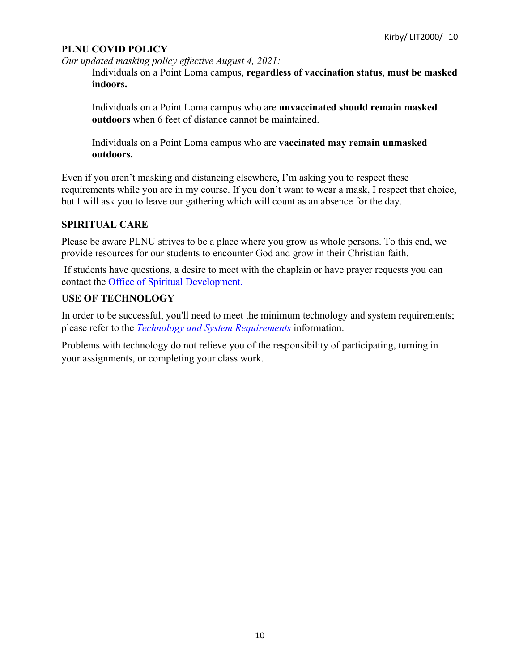## **PLNU COVID POLICY**

*Our updated masking policy effective August 4, 2021:*

Individuals on a Point Loma campus, **regardless of vaccination status**, **must be masked indoors.**

Individuals on a Point Loma campus who are **unvaccinated should remain masked outdoors** when 6 feet of distance cannot be maintained.

Individuals on a Point Loma campus who are **vaccinated may remain unmasked outdoors.**

Even if you aren't masking and distancing elsewhere, I'm asking you to respect these requirements while you are in my course. If you don't want to wear a mask, I respect that choice, but I will ask you to leave our gathering which will count as an absence for the day.

# **SPIRITUAL CARE**

Please be aware PLNU strives to be a place where you grow as whole persons. To this end, we provide resources for our students to encounter God and grow in their Christian faith.

If students have questions, a desire to meet with the chaplain or have prayer requests you can contact the Office of Spiritual Development.

# **USE OF TECHNOLOGY**

In order to be successful, you'll need to meet the minimum technology and system requirements; please refer to the *Technology and System Requirements* information.

Problems with technology do not relieve you of the responsibility of participating, turning in your assignments, or completing your class work.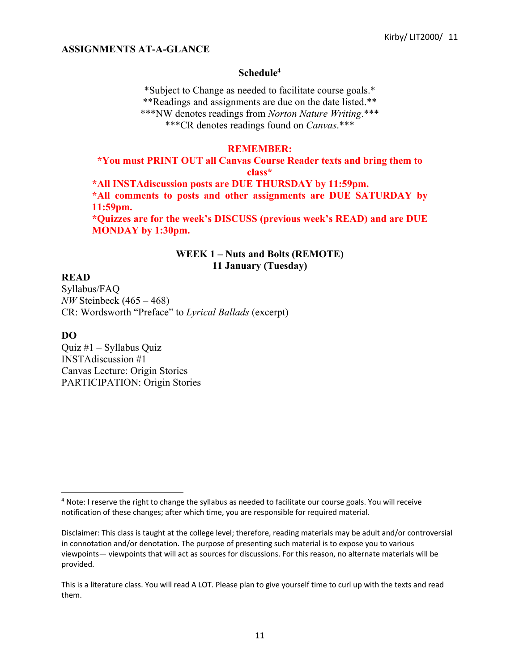#### **ASSIGNMENTS AT-A-GLANCE**

#### **Schedule4**

\*Subject to Change as needed to facilitate course goals.\* \*\*Readings and assignments are due on the date listed.\*\* \*\*\*NW denotes readings from *Norton Nature Writing*.\*\*\* \*\*\*CR denotes readings found on *Canvas*.\*\*\*

#### **REMEMBER:**

# **\*You must PRINT OUT all Canvas Course Reader texts and bring them to class\***

**\*All INSTAdiscussion posts are DUE THURSDAY by 11:59pm. \*All comments to posts and other assignments are DUE SATURDAY by 11:59pm.**

**\*Quizzes are for the week's DISCUSS (previous week's READ) and are DUE MONDAY by 1:30pm.**

#### **WEEK 1 – Nuts and Bolts (REMOTE) 11 January (Tuesday)**

#### **READ**

Syllabus/FAQ *NW* Steinbeck (465 – 468) CR: Wordsworth "Preface" to *Lyrical Ballads* (excerpt)

#### **DO**

Quiz #1 – Syllabus Quiz INSTAdiscussion #1 Canvas Lecture: Origin Stories PARTICIPATION: Origin Stories

<sup>4</sup> Note: I reserve the right to change the syllabus as needed to facilitate our course goals. You will receive notification of these changes; after which time, you are responsible for required material.

Disclaimer: This class is taught at the college level; therefore, reading materials may be adult and/or controversial in connotation and/or denotation. The purpose of presenting such material is to expose you to various viewpoints— viewpoints that will act as sources for discussions. For this reason, no alternate materials will be provided.

This is a literature class. You will read A LOT. Please plan to give yourself time to curl up with the texts and read them.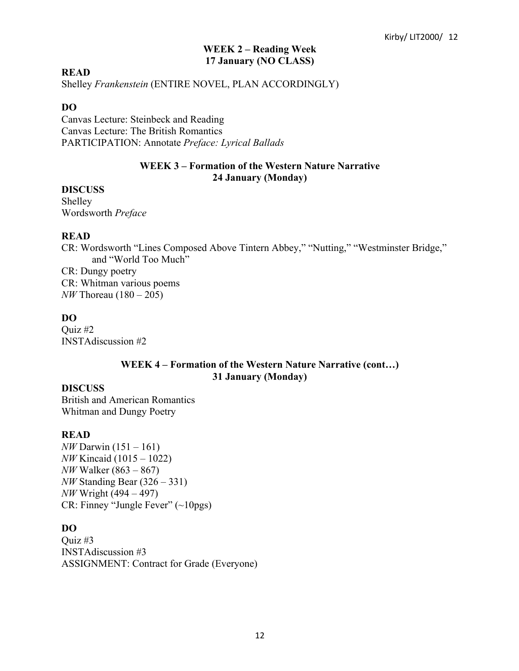## **WEEK 2 – Reading Week 17 January (NO CLASS)**

#### **READ**

Shelley *Frankenstein* (ENTIRE NOVEL, PLAN ACCORDINGLY)

## **DO**

Canvas Lecture: Steinbeck and Reading Canvas Lecture: The British Romantics PARTICIPATION: Annotate *Preface: Lyrical Ballads*

## **WEEK 3 – Formation of the Western Nature Narrative 24 January (Monday)**

### **DISCUSS**

Shelley Wordsworth *Preface*

### **READ**

CR: Wordsworth "Lines Composed Above Tintern Abbey," "Nutting," "Westminster Bridge," and "World Too Much"

CR: Dungy poetry CR: Whitman various poems *NW* Thoreau (180 – 205)

## **DO**

Quiz #2 INSTAdiscussion #2

## **WEEK 4 – Formation of the Western Nature Narrative (cont…) 31 January (Monday)**

### **DISCUSS**

British and American Romantics Whitman and Dungy Poetry

## **READ**

*NW* Darwin (151 – 161) *NW* Kincaid (1015 – 1022) *NW* Walker (863 – 867) *NW* Standing Bear (326 – 331) *NW* Wright (494 – 497) CR: Finney "Jungle Fever" (~10pgs)

### **DO**

Quiz #3 INSTAdiscussion #3 ASSIGNMENT: Contract for Grade (Everyone)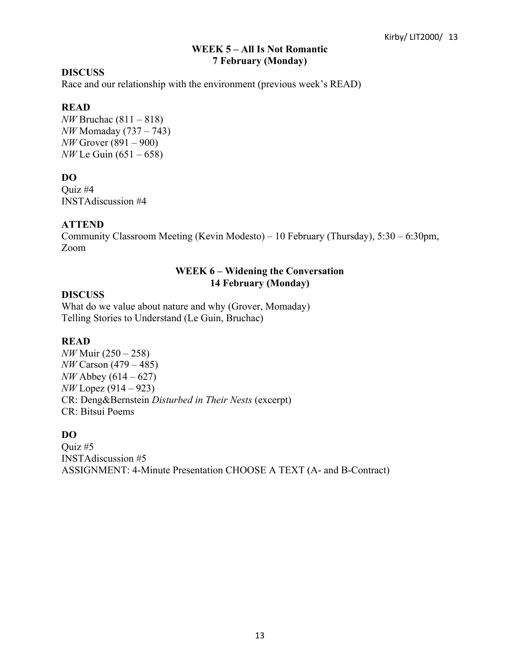## **WEEK 5 – All Is Not Romantic 7 February (Monday)**

# **DISCUSS**

Race and our relationship with the environment (previous week's READ)

# **READ**

*NW* Bruchac (811 – 818) *NW* Momaday (737 – 743) *NW* Grover (891 – 900) *NW* Le Guin (651 – 658)

# **DO**

Quiz #4 INSTAdiscussion #4

## **ATTEND**

Community Classroom Meeting (Kevin Modesto) – 10 February (Thursday), 5:30 – 6:30pm, Zoom

# **WEEK 6 – Widening the Conversation 14 February (Monday)**

### **DISCUSS**

What do we value about nature and why (Grover, Momaday) Telling Stories to Understand (Le Guin, Bruchac)

### **READ**

*NW* Muir (250 – 258) *NW* Carson (479 – 485) *NW* Abbey (614 – 627) *NW* Lopez (914 – 923) CR: Deng&Bernstein *Disturbed in Their Nests* (excerpt) CR: Bitsui Poems

# **DO**

Quiz #5 INSTAdiscussion #5 ASSIGNMENT: 4-Minute Presentation CHOOSE A TEXT (A- and B-Contract)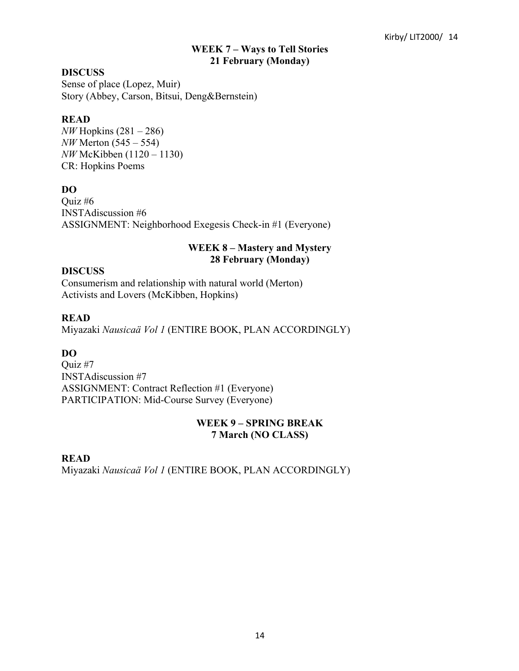### **WEEK 7 – Ways to Tell Stories 21 February (Monday)**

### **DISCUSS**

Sense of place (Lopez, Muir) Story (Abbey, Carson, Bitsui, Deng&Bernstein)

#### **READ**

*NW* Hopkins (281 – 286) *NW* Merton (545 – 554) *NW* McKibben (1120 – 1130) CR: Hopkins Poems

## **DO**

Quiz #6 INSTAdiscussion #6 ASSIGNMENT: Neighborhood Exegesis Check-in #1 (Everyone)

### **WEEK 8 – Mastery and Mystery 28 February (Monday)**

### **DISCUSS**

Consumerism and relationship with natural world (Merton) Activists and Lovers (McKibben, Hopkins)

### **READ**

Miyazaki *Nausicaä Vol 1* (ENTIRE BOOK, PLAN ACCORDINGLY)

### **DO**

Quiz #7 INSTAdiscussion #7 ASSIGNMENT: Contract Reflection #1 (Everyone) PARTICIPATION: Mid-Course Survey (Everyone)

### **WEEK 9 – SPRING BREAK 7 March (NO CLASS)**

#### **READ**

Miyazaki *Nausicaä Vol 1* (ENTIRE BOOK, PLAN ACCORDINGLY)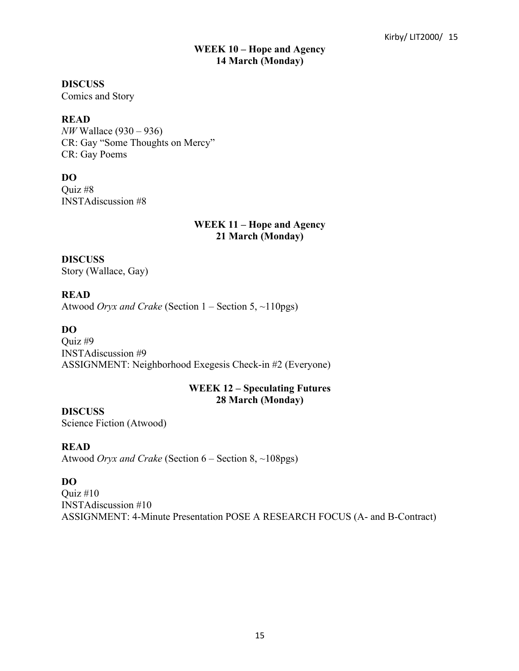#### **WEEK 10 – Hope and Agency 14 March (Monday)**

#### **DISCUSS**

Comics and Story

### **READ**

*NW* Wallace (930 – 936) CR: Gay "Some Thoughts on Mercy" CR: Gay Poems

## **DO**

Quiz #8 INSTAdiscussion #8

### **WEEK 11 – Hope and Agency 21 March (Monday)**

**DISCUSS** Story (Wallace, Gay)

**READ** Atwood *Oryx and Crake* (Section 1 – Section 5, ~110pgs)

# **DO**

Quiz #9 INSTAdiscussion #9 ASSIGNMENT: Neighborhood Exegesis Check-in #2 (Everyone)

## **WEEK 12 – Speculating Futures 28 March (Monday)**

**DISCUSS**

Science Fiction (Atwood)

# **READ**

Atwood *Oryx and Crake* (Section 6 – Section 8, ~108pgs)

# **DO**

Quiz #10 INSTAdiscussion #10 ASSIGNMENT: 4-Minute Presentation POSE A RESEARCH FOCUS (A- and B-Contract)